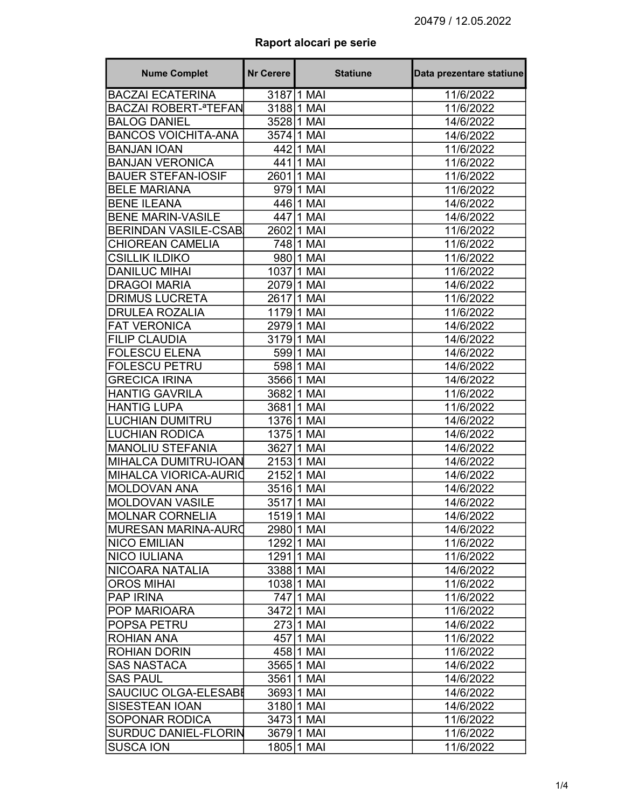## Raport alocari pe serie

| <b>Nume Complet</b>                    | <b>Nr Cerere</b> | <b>Statiune</b> | Data prezentare statiune |
|----------------------------------------|------------------|-----------------|--------------------------|
| <b>BACZAI ECATERINA</b>                |                  | 3187 1 MAI      | 11/6/2022                |
| <b>BACZAI ROBERT-<sup>a</sup>TEFAN</b> |                  | 3188 1 MAI      | 11/6/2022                |
| <b>BALOG DANIEL</b>                    |                  | 3528 1 MAI      | 14/6/2022                |
| <b>BANCOS VOICHITA-ANA</b>             |                  | 3574 1 MAI      | 14/6/2022                |
| <b>BANJAN IOAN</b>                     |                  | 442 1 MAI       | 11/6/2022                |
| <b>BANJAN VERONICA</b>                 |                  | 441 1 MAI       | 11/6/2022                |
| <b>BAUER STEFAN-IOSIF</b>              |                  | 2601 1 MAI      | 11/6/2022                |
| <b>BELE MARIANA</b>                    |                  | 979 1 MAI       | 11/6/2022                |
| <b>BENE ILEANA</b>                     |                  | 446 1 MAI       | 14/6/2022                |
| <b>BENE MARIN-VASILE</b>               |                  | 447 1 MAI       | 14/6/2022                |
| <b>BERINDAN VASILE-CSAB</b>            |                  | 2602 1 MAI      | 11/6/2022                |
| <b>CHIOREAN CAMELIA</b>                |                  | 748 1 MAI       | 11/6/2022                |
| <b>CSILLIK ILDIKO</b>                  |                  | 980 1 MAI       | 11/6/2022                |
| <b>DANILUC MIHAI</b>                   |                  | 1037 1 MAI      | 11/6/2022                |
| <b>DRAGOI MARIA</b>                    |                  | 20791 MAI       | 14/6/2022                |
| <b>DRIMUS LUCRETA</b>                  |                  | 26171 MAI       | 11/6/2022                |
| <b>DRULEA ROZALIA</b>                  |                  | 1179 1 MAI      | 11/6/2022                |
| <b>FAT VERONICA</b>                    |                  | 297911 MAI      | 14/6/2022                |
| <b>FILIP CLAUDIA</b>                   |                  | 31791 MAI       | 14/6/2022                |
| <b>FOLESCU ELENA</b>                   |                  | 599 1 MAI       | 14/6/2022                |
| <b>FOLESCU PETRU</b>                   |                  | 598 1 MAI       | 14/6/2022                |
| <b>GRECICA IRINA</b>                   |                  | 3566 1 MAI      | 14/6/2022                |
| <b>HANTIG GAVRILA</b>                  |                  | 3682 1 MAI      | 11/6/2022                |
| <b>HANTIG LUPA</b>                     |                  | 3681 1 MAI      | 11/6/2022                |
| <b>LUCHIAN DUMITRU</b>                 |                  | 1376 1 MAI      | 14/6/2022                |
| LUCHIAN RODICA                         |                  | 1375 1 MAI      | 14/6/2022                |
| <b>MANOLIU STEFANIA</b>                |                  | 3627 1 MAI      | 14/6/2022                |
| MIHALCA DUMITRU-IOAN                   |                  | 2153 1 MAI      | 14/6/2022                |
| MIHALCA VIORICA-AURIO                  |                  | 215211 MAI      | 14/6/2022                |
| <b>MOLDOVAN ANA</b>                    |                  | 3516 1 MAI      | 14/6/2022                |
| <b>MOLDOVAN VASILE</b>                 |                  | 35171 MAI       | 14/6/2022                |
| <b>MOLNAR CORNELIA</b>                 |                  | 1519 1 MAI      | 14/6/2022                |
| İMURESAN MARINA-AURO                   |                  | 2980 1 MAI      | 14/6/2022                |
| <b>NICO EMILIAN</b>                    |                  | 129211 MAI      | 11/6/2022                |
| NICO IULIANA                           |                  | 1291 1 MAI      | 11/6/2022                |
| NICOARA NATALIA                        |                  | 3388 1 MAI      | 14/6/2022                |
| <b>OROS MIHAI</b>                      |                  | 1038 1 MAI      | 11/6/2022                |
| <b>PAP IRINA</b>                       |                  | 747 1 MAI       | 11/6/2022                |
| <b>POP MARIOARA</b>                    |                  | 3472 1 MAI      | 11/6/2022                |
| <b>POPSA PETRU</b>                     |                  | 273 1 MAI       | 14/6/2022                |
| ROHIAN ANA                             |                  | 457 1 MAI       | 11/6/2022                |
| <b>ROHIAN DORIN</b>                    |                  | 458 1 MAI       | 11/6/2022                |
| <b>SAS NASTACA</b>                     |                  | 3565 1 MAI      | 14/6/2022                |
| <b>SAS PAUL</b>                        |                  | 3561 1 MAI      | 14/6/2022                |
| SAUCIUC OLGA-ELESABI                   |                  | 3693 1 MAI      | 14/6/2022                |
| <b>SISESTEAN IOAN</b>                  |                  | 3180 1 MAI      | 14/6/2022                |
| <b>SOPONAR RODICA</b>                  |                  | 3473 1 MAI      | 11/6/2022                |
| SURDUC DANIEL-FLORIN                   |                  | 3679 1 MAI      | 11/6/2022                |
| <b>SUSCA ION</b>                       |                  | 1805 1 MAI      | 11/6/2022                |
|                                        |                  |                 |                          |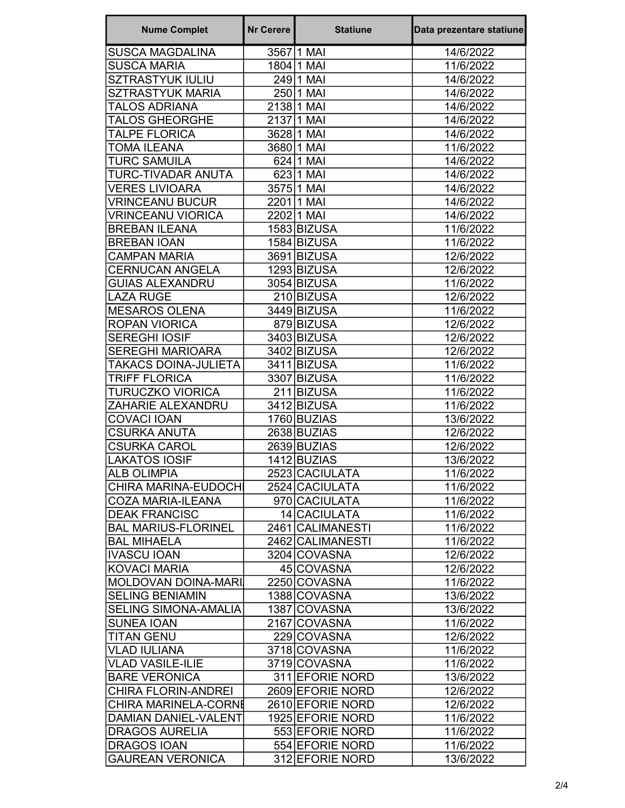| <b>Nume Complet</b>         | <b>Nr Cerere</b> | <b>Statiune</b>  | Data prezentare statiune |
|-----------------------------|------------------|------------------|--------------------------|
| <b>SUSCA MAGDALINA</b>      |                  | 35671 MAI        | 14/6/2022                |
| <b>SUSCA MARIA</b>          |                  | 1804 1 MAI       | 11/6/2022                |
| <b>SZTRASTYUK IULIU</b>     |                  | 24911 MAI        | 14/6/2022                |
| <b>SZTRASTYUK MARIA</b>     |                  | 250 1 MAI        | 14/6/2022                |
| <b>TALOS ADRIANA</b>        |                  | 2138 1 MAI       | 14/6/2022                |
| <b>TALOS GHEORGHE</b>       |                  | 2137 1 MAI       | 14/6/2022                |
| <b>TALPE FLORICA</b>        |                  | 3628 1 MAI       | 14/6/2022                |
| <b>TOMA ILEANA</b>          |                  | 368011 MAI       | 11/6/2022                |
| <b>TURC SAMUILA</b>         |                  | 624 1 MAI        | 14/6/2022                |
| TURC-TIVADAR ANUTA          |                  | 623 1 MAI        | 14/6/2022                |
| <b>VERES LIVIOARA</b>       |                  | 3575 1 MAI       | 14/6/2022                |
| <b>VRINCEANU BUCUR</b>      |                  | 22011 MAI        | 14/6/2022                |
| <b>VRINCEANU VIORICA</b>    |                  | 2202 1 MAI       | 14/6/2022                |
| <b>BREBAN ILEANA</b>        |                  | 1583 BIZUSA      | 11/6/2022                |
| <b>BREBAN IOAN</b>          |                  | 1584 BIZUSA      | 11/6/2022                |
| <b>CAMPAN MARIA</b>         |                  | 3691 BIZUSA      | 12/6/2022                |
| <b>CERNUCAN ANGELA</b>      |                  | 1293 BIZUSA      | 12/6/2022                |
| <b>GUIAS ALEXANDRU</b>      |                  | 3054 BIZUSA      | 11/6/2022                |
| <b>LAZA RUGE</b>            |                  | 210 BIZUSA       | 12/6/2022                |
| <b>MESAROS OLENA</b>        |                  | 3449 BIZUSA      | 11/6/2022                |
| <b>ROPAN VIORICA</b>        |                  | 879 BIZUSA       | 12/6/2022                |
| <b>SEREGHI IOSIF</b>        |                  | 3403 BIZUSA      | 12/6/2022                |
| <b>SEREGHI MARIOARA</b>     |                  | 3402 BIZUSA      | 12/6/2022                |
| TAKACS DOINA-JULIETA        |                  | 3411 BIZUSA      | 11/6/2022                |
| TRIFF FLORICA               |                  | 3307 BIZUSA      | 11/6/2022                |
| <b>TURUCZKO VIORICA</b>     |                  | 211 BIZUSA       | 11/6/2022                |
| ZAHARIE ALEXANDRU           |                  | 3412 BIZUSA      | 11/6/2022                |
| <b>COVACI IOAN</b>          |                  | 1760 BUZIAS      | 13/6/2022                |
| <b>CSURKA ANUTA</b>         |                  | 2638 BUZIAS      | 12/6/2022                |
| <b>CSURKA CAROL</b>         |                  | 2639 BUZIAS      | 12/6/2022                |
| <b>LAKATOS IOSIF</b>        |                  | 1412 BUZIAS      | 13/6/2022                |
| <b>ALB OLIMPIA</b>          |                  | 2523 CACIULATA   | 11/6/2022                |
| CHIRA MARINA-EUDOCH         |                  | 2524 CACIULATA   | 11/6/2022                |
| <b>COZA MARIA-ILEANA</b>    |                  | 970 CACIULATA    | 11/6/2022                |
| <b>DEAK FRANCISC</b>        |                  | 14 CACIULATA     | 11/6/2022                |
| <b>BAL MARIUS-FLORINEL</b>  |                  | 2461 CALIMANESTI | 11/6/2022                |
| <b>BAL MIHAELA</b>          |                  | 2462 CALIMANESTI | 11/6/2022                |
| <b>IVASCU IOAN</b>          |                  | 3204 COVASNA     | 12/6/2022                |
| <b>KOVACI MARIA</b>         |                  | 45 COVASNA       | 12/6/2022                |
| MOLDOVAN DOINA-MARI         |                  | 2250 COVASNA     | 11/6/2022                |
| <b>SELING BENIAMIN</b>      |                  | 1388 COVASNA     | 13/6/2022                |
| <b>SELING SIMONA-AMALIA</b> |                  | 1387 COVASNA     | 13/6/2022                |
| <b>SUNEA IOAN</b>           |                  | 2167 COVASNA     | 11/6/2022                |
| <b>TITAN GENU</b>           |                  | 229 COVASNA      | 12/6/2022                |
| <b>VLAD IULIANA</b>         |                  | 3718 COVASNA     | 11/6/2022                |
| <b>VLAD VASILE-ILIE</b>     |                  | 3719 COVASNA     | 11/6/2022                |
| <b>BARE VERONICA</b>        |                  | 311 EFORIE NORD  | 13/6/2022                |
| <b>CHIRA FLORIN-ANDREI</b>  |                  | 2609 EFORIE NORD | 12/6/2022                |
| <b>CHIRA MARINELA-CORNE</b> |                  | 2610 EFORIE NORD | 12/6/2022                |
| <b>DAMIAN DANIEL-VALENT</b> |                  | 1925 EFORIE NORD | 11/6/2022                |
| <b>DRAGOS AURELIA</b>       |                  | 553 EFORIE NORD  | 11/6/2022                |
| <b>DRAGOS IOAN</b>          |                  | 554 EFORIE NORD  | 11/6/2022                |
| <b>GAUREAN VERONICA</b>     |                  | 312 EFORIE NORD  | 13/6/2022                |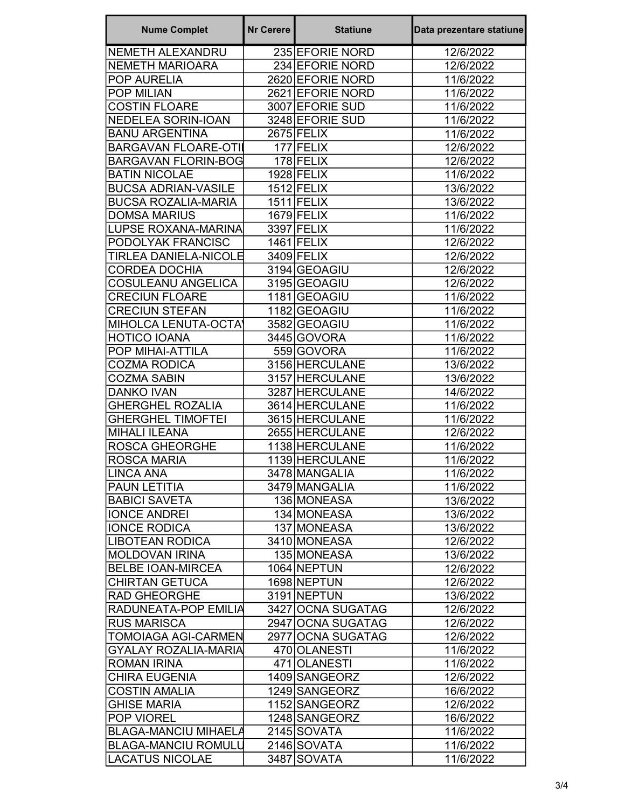| <b>Nume Complet</b>                        | <b>Nr Cerere</b> | <b>Statiune</b>   | Data prezentare statiune |
|--------------------------------------------|------------------|-------------------|--------------------------|
| <b>NEMETH ALEXANDRU</b>                    |                  | 235 EFORIE NORD   | 12/6/2022                |
| <b>NEMETH MARIOARA</b>                     |                  | 234 EFORIE NORD   | 12/6/2022                |
| POP AURELIA                                |                  | 2620 EFORIE NORD  | 11/6/2022                |
| <b>POP MILIAN</b>                          |                  | 2621 EFORIE NORD  | 11/6/2022                |
| <b>COSTIN FLOARE</b>                       |                  | 3007 EFORIE SUD   | 11/6/2022                |
| <b>NEDELEA SORIN-IOAN</b>                  |                  | 3248 EFORIE SUD   | 11/6/2022                |
| <b>BANU ARGENTINA</b>                      |                  | 2675 FELIX        | 11/6/2022                |
| <b>BARGAVAN FLOARE-OTIL</b>                |                  | 177 FELIX         | 12/6/2022                |
| <b>BARGAVAN FLORIN-BOG</b>                 |                  | 178 FELIX         | 12/6/2022                |
| <b>BATIN NICOLAE</b>                       |                  | 1928 FELIX        | 11/6/2022                |
| <b>BUCSA ADRIAN-VASILE</b>                 |                  | $1512$ FELIX      | 13/6/2022                |
| <b>BUCSA ROZALIA-MARIA</b>                 |                  | $1511$ FELIX      | 13/6/2022                |
| <b>DOMSA MARIUS</b>                        |                  | $1679$ FELIX      | 11/6/2022                |
| <b>LUPSE ROXANA-MARINA</b>                 |                  | 3397 FELIX        | 11/6/2022                |
| PODOLYAK FRANCISC                          |                  | $1461$ FELIX      | 12/6/2022                |
| TIRLEA DANIELA-NICOLE                      |                  | 3409 FELIX        | 12/6/2022                |
| <b>CORDEA DOCHIA</b>                       |                  | 3194 GEOAGIU      | 12/6/2022                |
| COSULEANU ANGELICA                         |                  | 3195 GEOAGIU      | 12/6/2022                |
| <b>CRECIUN FLOARE</b>                      |                  | 1181 GEOAGIU      | 11/6/2022                |
| <b>CRECIUN STEFAN</b>                      |                  | 1182 GEOAGIU      | 11/6/2022                |
| MIHOLCA LENUTA-OCTA)                       |                  | 3582 GEOAGIU      | 11/6/2022                |
| <b>HOTICO IOANA</b>                        |                  | 3445 GOVORA       | 11/6/2022                |
| POP MIHAI-ATTILA                           |                  | 559 GOVORA        | 11/6/2022                |
| <b>COZMA RODICA</b>                        |                  | 3156 HERCULANE    | 13/6/2022                |
| <b>COZMA SABIN</b>                         |                  | 3157 HERCULANE    | 13/6/2022                |
| <b>DANKO IVAN</b>                          |                  | 3287 HERCULANE    | 14/6/2022                |
| <b>GHERGHEL ROZALIA</b>                    |                  | 3614 HERCULANE    | 11/6/2022                |
| <b>GHERGHEL TIMOFTEI</b>                   |                  | 3615 HERCULANE    | 11/6/2022                |
| <b>MIHALI ILEANA</b>                       |                  | 2655 HERCULANE    | 12/6/2022                |
| <b>ROSCA GHEORGHE</b>                      |                  | 1138 HERCULANE    | 11/6/2022                |
| <b>ROSCA MARIA</b>                         |                  | 1139 HERCULANE    | 11/6/2022                |
| <b>LINCA ANA</b>                           |                  | 3478 MANGALIA     | 11/6/2022                |
| <b>PAUN LETITIA</b>                        |                  | 3479 MANGALIA     | 11/6/2022                |
| <b>BABICI SAVETA</b>                       |                  | 136 MONEASA       | 13/6/2022                |
| <b>IONCE ANDREI</b>                        |                  | 134 MONEASA       | 13/6/2022                |
| <b>IONCE RODICA</b>                        |                  | 137 MONEASA       | 13/6/2022                |
| <b>LIBOTEAN RODICA</b>                     |                  | 3410 MONEASA      | 12/6/2022                |
| <b>MOLDOVAN IRINA</b>                      |                  | 135 MONEASA       | 13/6/2022                |
| <b>BELBE IOAN-MIRCEA</b>                   |                  | 1064 NEPTUN       | 12/6/2022                |
| <b>CHIRTAN GETUCA</b>                      |                  | 1698 NEPTUN       | 12/6/2022                |
| <b>RAD GHEORGHE</b>                        |                  | 3191 NEPTUN       | 13/6/2022                |
| RADUNEATA-POP EMILIA                       |                  | 3427 OCNA SUGATAG | 12/6/2022                |
| <b>RUS MARISCA</b>                         |                  | 2947 OCNA SUGATAG | 12/6/2022                |
| <b>TOMOIAGA AGI-CARMEN</b>                 |                  | 2977 OCNA SUGATAG |                          |
| <b>GYALAY ROZALIA-MARIA</b>                |                  | 470 OLANESTI      | 12/6/2022<br>11/6/2022   |
| <b>ROMAN IRINA</b>                         |                  | 471 OLANESTI      |                          |
|                                            |                  |                   | 11/6/2022                |
| <b>CHIRA EUGENIA</b>                       |                  | 1409 SANGEORZ     | 12/6/2022                |
| <b>COSTIN AMALIA</b><br><b>GHISE MARIA</b> |                  | 1249 SANGEORZ     | 16/6/2022                |
|                                            |                  | 1152 SANGEORZ     | 12/6/2022                |
| POP VIOREL<br><b>BLAGA-MANCIU MIHAELA</b>  |                  | 1248 SANGEORZ     | 16/6/2022                |
|                                            |                  | 2145 SOVATA       | 11/6/2022                |
| <b>BLAGA-MANCIU ROMULU</b>                 |                  | 2146 SOVATA       | 11/6/2022                |
| <b>LACATUS NICOLAE</b>                     |                  | 3487 SOVATA       | 11/6/2022                |